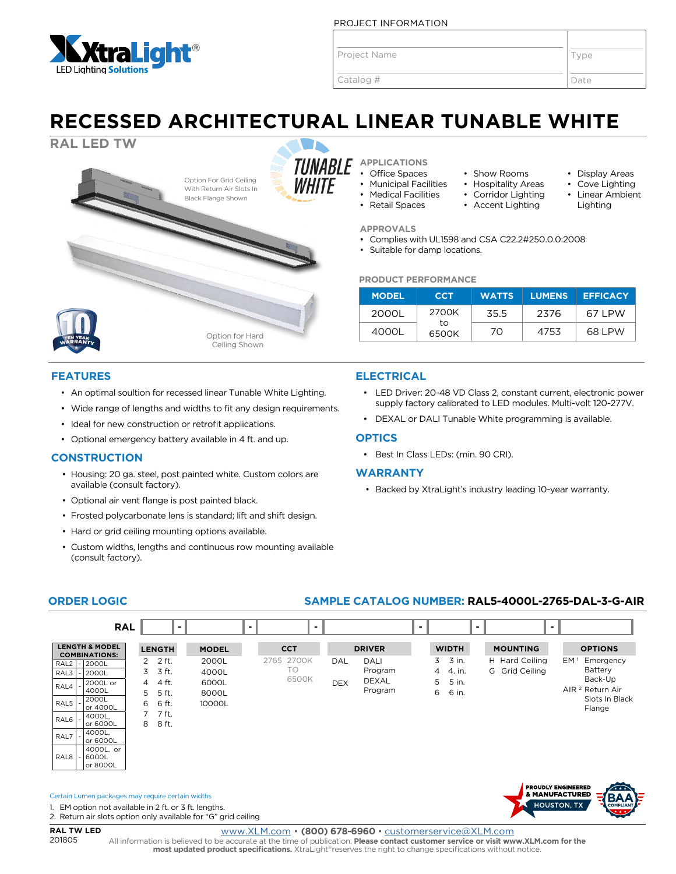

PROJECT INFORMATION

Project Name

Catalog #

www.XLM.com • **(800) 678-6960** • customerservice@XLM.com

All information is believed to be accurate at the time of publication. **Please contact customer service or visit www.XLM.com for the most updated product specifications.** XtraLight®reserves the right to change specifications without notice

**ORDER LOGIC SAMPLE CATALOG NUMBER: RAL5-4000L-2765-DAL-3-G-AIR**

**CCT** 2765 2700K TO 6500K

**- - - - - -**

**DRIVER** DAL DALI

DEX DEXAL Program

Program

Type

Date

• Display Areas Cove Lighting • Linear Ambient Lighting

## **RECESSED ARCHITECTURAL LINEAR TUNABLE WHITE**



### **FEATURES**

- An optimal soultion for recessed linear Tunable White Lighting.
- Wide range of lengths and widths to fit any design requirements.
- Ideal for new construction or retrofit applications.
- Optional emergency battery available in 4 ft. and up.

#### **CONSTRUCTION**

**LENGTH & MODEL COMBINATIONS:** RAL2 - 2000L RAL3 - 2000L RAL4 - 2000L or 4000L  $RAI$  5  $|. |2000L$ or 4000L  $RAI6 - 4000L$ or 6000L  $RAL7$   $-$  4000L, or 6000L

> 4000L, or 6000L or 8000L

1. EM option not available in 2 ft. or 3 ft. lengths. 2. Return air slots option only available for "G" grid ceiling

Certain Lumen packages may require certain widths

**RAL TW LED** 201805

RAL8

- Housing: 20 ga. steel, post painted white. Custom colors are available (consult factory).
- Optional air vent flange is post painted black.
- Frosted polycarbonate lens is standard; lift and shift design.
- Hard or grid ceiling mounting options available.

**LENGTH** 2 2 ft.  $3 \overline{3} + \overline{1}$ 4 4 ft. 5 5 ft. 6 6 ft. 7 7 ft. 8 8 ft.

**RAL**

• Custom widths, lengths and continuous row mounting available (consult factory).

> **MODEL** 2000L 4000L 6000L 8000L 10000L

#### **APPLICATIONS** • Office Spaces

**APPROVALS**

**ELECTRICAL**

**OPTICS**

**WARRANTY**

- 
- Municipal Facilities • Medical Facilities
- Retail Spaces

**PRODUCT PERFORMANCE**

• Suitable for damp locations.

2000L 2700K

to 6500K

• Best In Class LEDs: (min. 90 CRI).

**WIDTH** 3 3 in. 4 4. in. 5 5 in. 6 6 in.

• Complies with UL1598 and CSA C22.2#250.0.0:2008

- 
- Accent Lighting
- 
- 
- 
- 
- 
- 
- 
- 
- 
- 
- 

**MODEL CCT WATTS LUMENS EFFICACY**

4000L 70 4753 68 LPW

• LED Driver: 20-48 VD Class 2, constant current, electronic power supply factory calibrated to LED modules. Multi-volt 120-277V.

• DEXAL or DALI Tunable White programming is available.

• Backed by XtraLight's industry leading 10-year warranty.

**MOUNTING** H Hard Ceiling G Grid Ceiling

> **PROUDLY ENGINEERED** & MANUFACTURED **HOUSTON, TX**

**OPTIONS** EM<sup>1</sup> Emergency Battery Back-Up AIR 2 Return Air Slots In Black Flange

35.5 2376 67 LPW

- 
- 
- 
- 
- 
- 
- 

• Show Rooms

- -
- 
- 
- 
- 
- 
- Hospitality Areas
- Corridor Lighting
- 
- 
- 
- 
- 
- 
- 
- 
- 
- 
- 
- 
- 
- 
- 
- 
- 
- 
- 
- 
- 
- 
- 
- 
- 
- 
- 
- 
-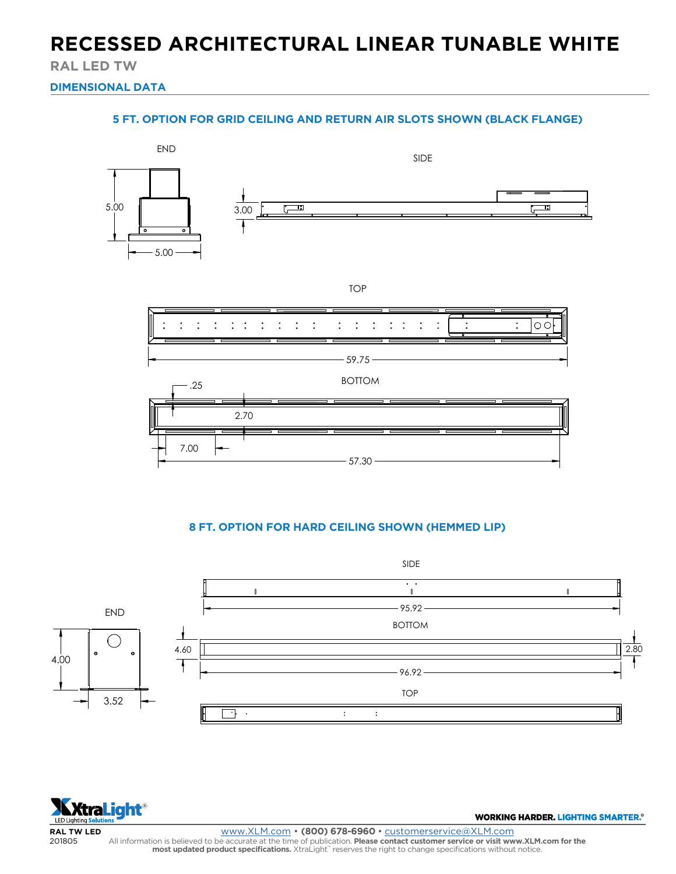### **RECESSED ARCHITECTURAL LINEAR TUNABLE WHITE**

**RAL LED TW**

**DIMENSIONAL DATA**

### **5 FT. OPTION FOR GRID CEILING AND RETURN AIR SLOTS SHOWN (BLACK FLANGE)**



#### **A HOWN (HEMMED LIE** 8 F<mark>T. OPTION FOR HARD CEILING SHOWN (HEMMED LIP)</mark>





201805 www.XLM.com • **(800) 678-6960** • customerservice@XLM.com 2.80 All information is believed to be accurate at the time of publication. **Please contact customer service or visit www.XLM.com for the**<br>**most updated product specifications.** XtraLight" reserves the right to change specifica

WORKING HARDER. LIGHTING SMARTER.<sup>®</sup>